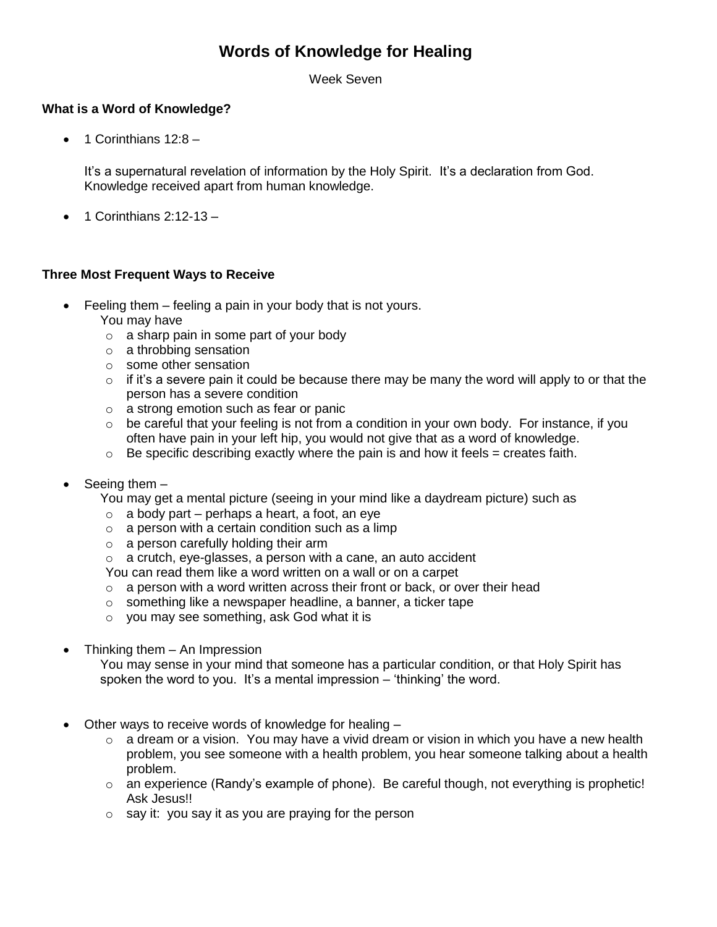# **Words of Knowledge for Healing**

Week Seven

## **What is a Word of Knowledge?**

 $\bullet$  1 Corinthians 12:8 –

It's a supernatural revelation of information by the Holy Spirit. It's a declaration from God. Knowledge received apart from human knowledge.

 $\bullet$  1 Corinthians 2:12-13 -

## **Three Most Frequent Ways to Receive**

- Feeling them feeling a pain in your body that is not yours.
	- You may have
	- o a sharp pain in some part of your body
	- o a throbbing sensation
	- o some other sensation
	- $\circ$  if it's a severe pain it could be because there may be many the word will apply to or that the person has a severe condition
	- o a strong emotion such as fear or panic
	- o be careful that your feeling is not from a condition in your own body. For instance, if you often have pain in your left hip, you would not give that as a word of knowledge.
	- $\circ$  Be specific describing exactly where the pain is and how it feels = creates faith.
- Seeing them –

You may get a mental picture (seeing in your mind like a daydream picture) such as

- $\circ$  a body part perhaps a heart, a foot, an eye
- $\circ$  a person with a certain condition such as a limp
- o a person carefully holding their arm
- $\circ$  a crutch, eye-glasses, a person with a cane, an auto accident
- You can read them like a word written on a wall or on a carpet
- $\circ$  a person with a word written across their front or back, or over their head
- o something like a newspaper headline, a banner, a ticker tape
- o you may see something, ask God what it is
- Thinking them An Impression

You may sense in your mind that someone has a particular condition, or that Holy Spirit has spoken the word to you. It's a mental impression – 'thinking' the word.

- Other ways to receive words of knowledge for healing
	- $\circ$  a dream or a vision. You may have a vivid dream or vision in which you have a new health problem, you see someone with a health problem, you hear someone talking about a health problem.
	- $\circ$  an experience (Randy's example of phone). Be careful though, not everything is prophetic! Ask Jesus!!
	- $\circ$  say it: you say it as you are praying for the person